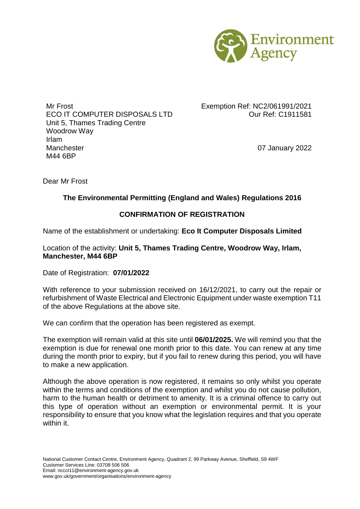

Mr Frost **Exemption Ref: NC2/061991/2021** ECO IT COMPUTER DISPOSALS LTD Our Ref: C1911581 Unit 5, Thames Trading Centre Woodrow Way Irlam Manchester **Manchester** 07 January 2022 M44 6BP

Dear Mr Frost

## **The Environmental Permitting (England and Wales) Regulations 2016**

## **CONFIRMATION OF REGISTRATION**

Name of the establishment or undertaking: **Eco It Computer Disposals Limited**

Location of the activity: **Unit 5, Thames Trading Centre, Woodrow Way, Irlam, Manchester, M44 6BP**

Date of Registration: **07/01/2022**

With reference to your submission received on 16/12/2021, to carry out the repair or refurbishment of Waste Electrical and Electronic Equipment under waste exemption T11 of the above Regulations at the above site.

We can confirm that the operation has been registered as exempt.

The exemption will remain valid at this site until **06/01/2025.** We will remind you that the exemption is due for renewal one month prior to this date. You can renew at any time during the month prior to expiry, but if you fail to renew during this period, you will have to make a new application.

Although the above operation is now registered, it remains so only whilst you operate within the terms and conditions of the exemption and whilst you do not cause pollution, harm to the human health or detriment to amenity. It is a criminal offence to carry out this type of operation without an exemption or environmental permit. It is your responsibility to ensure that you know what the legislation requires and that you operate within it.